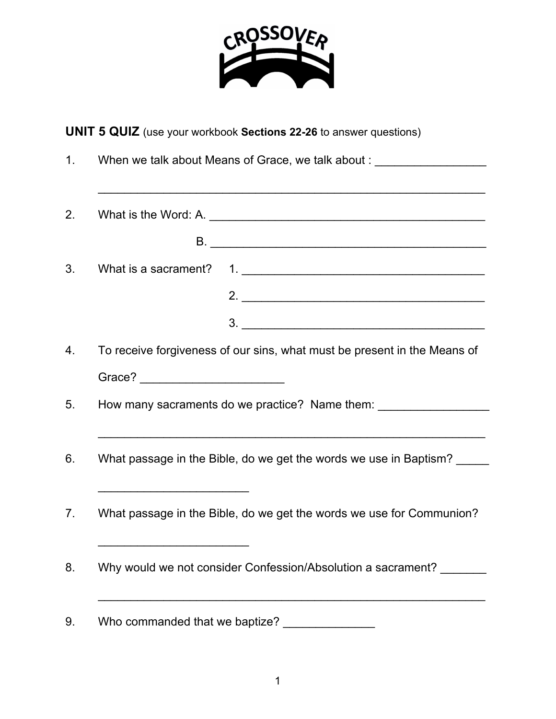

## **UNIT 5 QUIZ** (use your workbook **Sections 22-26** to answer questions)

1. When we talk about Means of Grace, we talk about : \_\_\_\_\_\_\_\_\_\_\_\_\_\_\_\_\_\_\_\_\_\_\_\_\_\_\_\_\_\_\_\_\_\_\_\_\_\_\_\_\_\_\_\_\_\_\_\_\_\_\_\_\_\_\_\_\_\_\_ 2. What is the Word: A. \_\_\_\_\_\_\_\_\_\_\_\_\_\_\_\_\_\_\_\_\_\_\_\_\_\_\_\_\_\_\_\_\_\_\_\_\_\_\_\_\_\_ B. \_\_\_\_\_\_\_\_\_\_\_\_\_\_\_\_\_\_\_\_\_\_\_\_\_\_\_\_\_\_\_\_\_\_\_\_\_\_\_\_\_\_ 3. What is a sacrament? 1. \_\_\_\_\_\_\_\_\_\_\_\_\_\_\_\_\_\_\_\_\_\_\_\_\_\_\_\_\_\_\_\_\_\_\_\_\_ 2. \_\_\_\_\_\_\_\_\_\_\_\_\_\_\_\_\_\_\_\_\_\_\_\_\_\_\_\_\_\_\_\_\_\_\_\_\_ 3. \_\_\_\_\_\_\_\_\_\_\_\_\_\_\_\_\_\_\_\_\_\_\_\_\_\_\_\_\_\_\_\_\_\_\_\_\_ 4. To receive forgiveness of our sins, what must be present in the Means of Grace? \_\_\_\_\_\_\_\_\_\_\_\_\_\_\_\_\_\_\_\_\_\_ 5. How many sacraments do we practice? Name them: \_\_\_\_\_\_\_\_\_\_\_\_\_\_\_\_\_\_\_\_\_\_\_\_\_\_\_\_\_\_\_\_\_\_\_\_\_\_\_\_\_\_\_\_\_\_\_\_\_\_\_\_\_\_\_\_\_\_\_ 6. What passage in the Bible, do we get the words we use in Baptism?  $\overline{\phantom{a}}$  , and the set of the set of the set of the set of the set of the set of the set of the set of the set of the set of the set of the set of the set of the set of the set of the set of the set of the set of the s 7. What passage in the Bible, do we get the words we use for Communion?  $\overline{\phantom{a}}$  , and the set of the set of the set of the set of the set of the set of the set of the set of the set of the set of the set of the set of the set of the set of the set of the set of the set of the set of the s 8. Why would we not consider Confession/Absolution a sacrament? 9. Who commanded that we baptize?